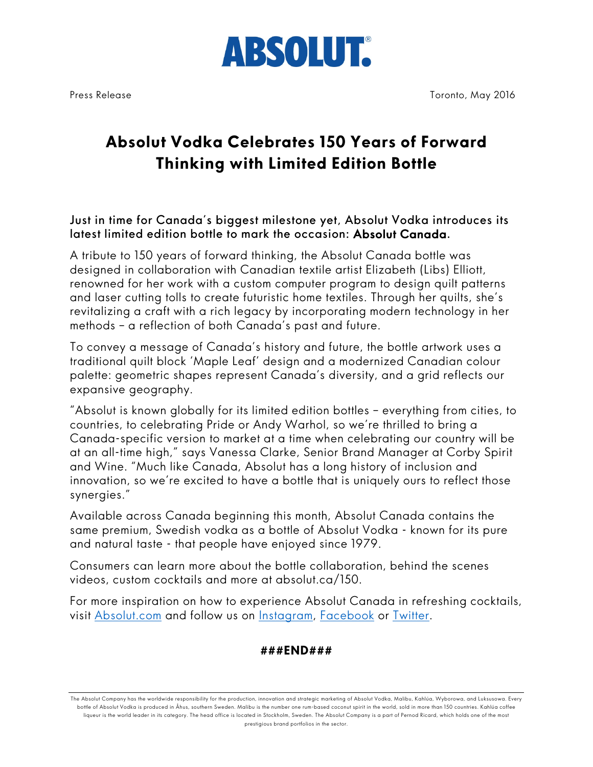

## **Absolut Vodka Celebrates 150 Years of Forward Thinking with Limited Edition Bottle**

Just in time for Canada's biggest milestone yet, Absolut Vodka introduces its latest limited edition bottle to mark the occasion: Absolut Canada.

A tribute to 150 years of forward thinking, the Absolut Canada bottle was designed in collaboration with Canadian textile artist Elizabeth (Libs) Elliott, renowned for her work with a custom computer program to design quilt patterns and laser cutting tolls to create futuristic home textiles. Through her quilts, she's revitalizing a craft with a rich legacy by incorporating modern technology in her methods – a reflection of both Canada's past and future.

To convey a message of Canada's history and future, the bottle artwork uses a traditional quilt block 'Maple Leaf' design and a modernized Canadian colour palette: geometric shapes represent Canada's diversity, and a grid reflects our expansive geography.

"Absolut is known globally for its limited edition bottles – everything from cities, to countries, to celebrating Pride or Andy Warhol, so we're thrilled to bring a Canada-specific version to market at a time when celebrating our country will be at an all-time high," says Vanessa Clarke, Senior Brand Manager at Corby Spirit and Wine. "Much like Canada, Absolut has a long history of inclusion and innovation, so we're excited to have a bottle that is uniquely ours to reflect those synergies."

Available across Canada beginning this month, Absolut Canada contains the same premium, Swedish vodka as a bottle of Absolut Vodka - known for its pure and natural taste - that people have enjoyed since 1979.

Consumers can learn more about the bottle collaboration, behind the scenes videos, custom cocktails and more at absolut.ca/150.

For more inspiration on how to experience Absolut Canada in refreshing cocktails, visit Absolut.com and follow us on Instagram, Facebook or Twitter.

## **###END###**

The Absolut Company has the worldwide responsibility for the production, innovation and strategic marketing of Absolut Vodka, Malibu, Kahlúa, Wyborowa, and Luksusowa. Every bottle of Absolut Vodka is produced in Åhus, southern Sweden. Malibu is the number one rum-based coconut spirit in the world, sold in more than 150 countries. Kahlúa coffee liqueur is the world leader in its category. The head office is located in Stockholm, Sweden. The Absolut Company is a part of Pernod Ricard, which holds one of the most prestigious brand portfolios in the sector.